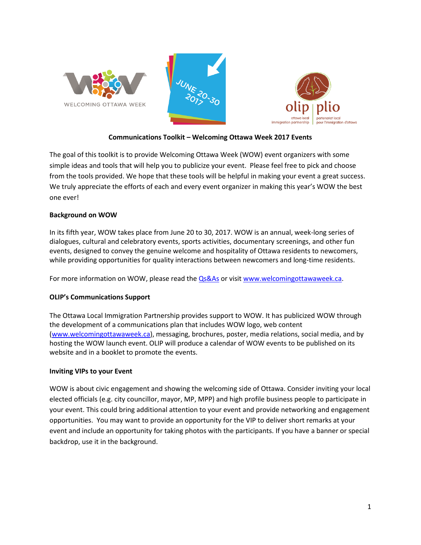





# **Communications Toolkit – Welcoming Ottawa Week 2017 Events**

The goal of this toolkit is to provide Welcoming Ottawa Week (WOW) event organizers with some simple ideas and tools that will help you to publicize your event. Please feel free to pick and choose from the tools provided. We hope that these tools will be helpful in making your event a great success. We truly appreciate the efforts of each and every event organizer in making this year's WOW the best one ever!

## **Background on WOW**

In its fifth year, WOW takes place from June 20 to 30, 2017. WOW is an annual, week-long series of dialogues, cultural and celebratory events, sports activities, documentary screenings, and other fun events, designed to convey the genuine welcome and hospitality of Ottawa residents to newcomers, while providing opportunities for quality interactions between newcomers and long-time residents.

For more information on WOW, please read the [Qs&As](http://olip-plio.ca/wp-content/uploads/2017/05/Appendix-1-WOW-FAQ-2017-FINAL.pdf) or visit [www.welcomingottawaweek.ca.](http://www.welcomingottawaweek.ca/)

# **OLIP's Communications Support**

The Ottawa Local Immigration Partnership provides support to WOW. It has publicized WOW through the development of a communications plan that includes WOW logo, web content [\(www.welcomingottawaweek.ca\)](http://www.welcomingottawaweek.ca/), messaging, brochures, poster, media relations, social media, and by hosting the WOW launch event. OLIP will produce a calendar of WOW events to be published on its website and in a booklet to promote the events.

#### **Inviting VIPs to your Event**

WOW is about civic engagement and showing the welcoming side of Ottawa. Consider inviting your local elected officials (e.g. city councillor, mayor, MP, MPP) and high profile business people to participate in your event. This could bring additional attention to your event and provide networking and engagement opportunities. You may want to provide an opportunity for the VIP to deliver short remarks at your event and include an opportunity for taking photos with the participants. If you have a banner or special backdrop, use it in the background.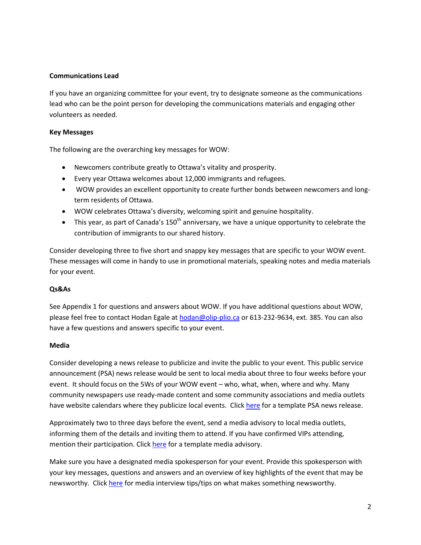### **Communications Lead**

If you have an organizing committee for your event, try to designate someone as the communications lead who can be the point person for developing the communications materials and engaging other volunteers as needed.

### **Key Messages**

The following are the overarching key messages for WOW:

- Newcomers contribute greatly to Ottawa's vitality and prosperity.
- Every year Ottawa welcomes about 12,000 immigrants and refugees.
- WOW provides an excellent opportunity to create further bonds between newcomers and longterm residents of Ottawa.
- WOW celebrates Ottawa's diversity, welcoming spirit and genuine hospitality.
- $\bullet$  This year, as part of Canada's 150<sup>th</sup> anniversary, we have a unique opportunity to celebrate the contribution of immigrants to our shared history.

Consider developing three to five short and snappy key messages that are specific to your WOW event. These messages will come in handy to use in promotional materials, speaking notes and media materials for your event.

#### **Qs&As**

See Appendix 1 for questions and answers about WOW. If you have additional questions about WOW, please feel free to contact Hodan Egale at [hodan@olip-plio.ca](mailto:hodan@olip-plio.ca) or 613-232-9634, ext. 385. You can also have a few questions and answers specific to your event.

#### **Media**

Consider developing a news release to publicize and invite the public to your event. This public service announcement (PSA) news release would be sent to local media about three to four weeks before your event. It should focus on the 5Ws of your WOW event – who, what, when, where and why. Many community newspapers use ready-made content and some community associations and media outlets have website calendars where they publicize local events. Click [here](http://olip-plio.ca/wp-content/uploads/2017/05/Appendix-2-2017-WOW-PSA-news-release-template_FINAL.docx) for a template PSA news release.

Approximately two to three days before the event, send a media advisory to local media outlets, informing them of the details and inviting them to attend. If you have confirmed VIPs attending, mention their participation. Clic[k here](http://olip-plio.ca/wp-content/uploads/2017/05/Appendix-3-Media-Advisory-WOW-Event-TEMPLATE_FINAL.docx) for a template media advisory.

Make sure you have a designated media spokesperson for your event. Provide this spokesperson with your key messages, questions and answers and an overview of key highlights of the event that may be newsworthy. Click [here](http://olip-plio.ca/wp-content/uploads/2017/05/Appendix-4-WOW-Media-Tips-+-What-Makes-Something-Newsworthy_FINAL.docx) for media interview tips/tips on what makes something newsworthy.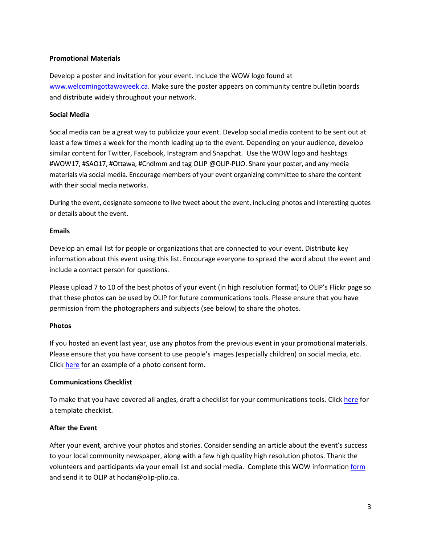## **Promotional Materials**

Develop a poster and invitation for your event. Include the WOW logo found at [www.welcomingottawaweek.ca.](http://www.welcomingottawaweek.ca/) Make sure the poster appears on community centre bulletin boards and distribute widely throughout your network.

## **Social Media**

Social media can be a great way to publicize your event. Develop social media content to be sent out at least a few times a week for the month leading up to the event. Depending on your audience, develop similar content for Twitter, Facebook, Instagram and Snapchat. Use the WOW logo and hashtags #WOW17, #SAO17, #Ottawa, #CndImm and tag OLIP @OLIP-PLIO. Share your poster, and any media materials via social media. Encourage members of your event organizing committee to share the content with their social media networks.

During the event, designate someone to live tweet about the event, including photos and interesting quotes or details about the event.

## **Emails**

Develop an email list for people or organizations that are connected to your event. Distribute key information about this event using this list. Encourage everyone to spread the word about the event and include a contact person for questions.

Please upload 7 to 10 of the best photos of your event (in high resolution format) to OLIP's Flickr page so that these photos can be used by OLIP for future communications tools. Please ensure that you have permission from the photographers and subjects (see below) to share the photos.

# **Photos**

If you hosted an event last year, use any photos from the previous event in your promotional materials. Please ensure that you have consent to use people's images (especially children) on social media, etc. Click [here](http://olip-plio.ca/wp-content/uploads/2017/05/Appendix-5-Photo-Consent-Form_FINAL.docx) for an example of a photo consent form.

# **Communications Checklist**

To make that you have covered all angles, draft a checklist for your communications tools. Clic[k here](http://olip-plio.ca/wp-content/uploads/2017/05/Appendix-6-Communications-Checklist_FINAL.docx) for a template checklist.

# **After the Event**

After your event, archive your photos and stories. Consider sending an article about the event's success to your local community newspaper, along with a few high quality high resolution photos. Thank the volunteers and participants via your email list and social media. Complete this WOW information [form](http://olip-plio.ca/wp-content/uploads/2017/05/Appendix-7-Tips-for-WOW-Event-Hosts-Hosting-Evaluating-and-Reporting-on-Events-FINAL.docx) and send it to OLIP at hodan@olip-plio.ca.